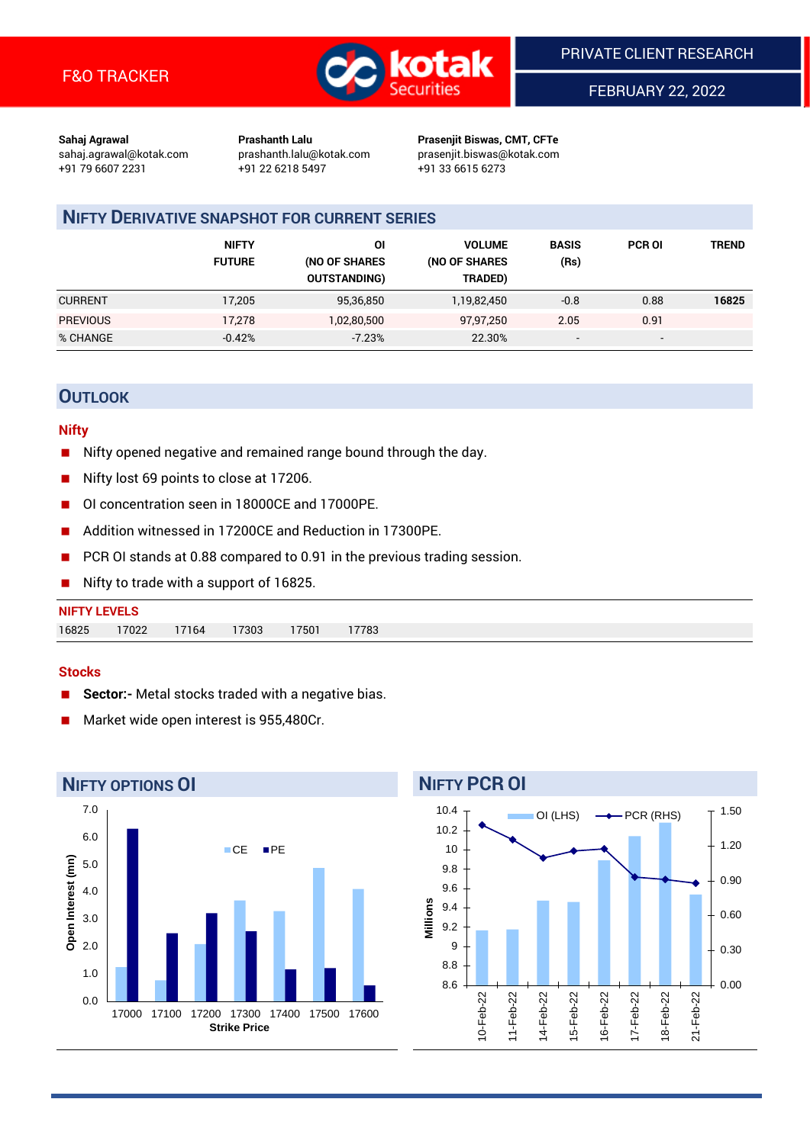

FEBRUARY 22, 2022

**Sahaj Agrawal Prashanth Lalu Prasenjit Biswas, CMT, CFTe** +91 79 6607 2231 +91 22 6218 5497 +91 33 6615 6273

sahaj.agrawal@kotak.com [prashanth.lalu@kotak.com](mailto:prashanth.lalu@kotak.com) prasenjit.biswas@kotak.com

# **NIFTY DERIVATIVE SNAPSHOT FOR CURRENT SERIES**

|                 | <b>NIFTY</b><br><b>FUTURE</b> | ΟI<br>(NO OF SHARES<br><b>OUTSTANDING)</b> | <b>VOLUME</b><br>(NO OF SHARES<br>TRADED) | <b>BASIS</b><br>(Rs)     | <b>PCR OI</b>            | TREND |
|-----------------|-------------------------------|--------------------------------------------|-------------------------------------------|--------------------------|--------------------------|-------|
| <b>CURRENT</b>  | 17,205                        | 95,36,850                                  | 1,19,82,450                               | $-0.8$                   | 0.88                     | 16825 |
| <b>PREVIOUS</b> | 17,278                        | 1,02,80,500                                | 97,97,250                                 | 2.05                     | 0.91                     |       |
| % CHANGE        | $-0.42%$                      | $-7.23%$                                   | 22.30%                                    | $\overline{\phantom{a}}$ | $\overline{\phantom{a}}$ |       |

# **OUTLOOK**

### **Nifty**

- Nifty opened negative and remained range bound through the day.
- Nifty lost 69 points to close at 17206.
- OI concentration seen in 18000CE and 17000PE.
- Addition witnessed in 17200CE and Reduction in 17300PE.
- PCR OI stands at 0.88 compared to 0.91 in the previous trading session.
- Nifty to trade with a support of 16825.

#### **Stocks**

- **Sector:-** Metal stocks traded with a negative bias.
- Market wide open interest is 955,480Cr.



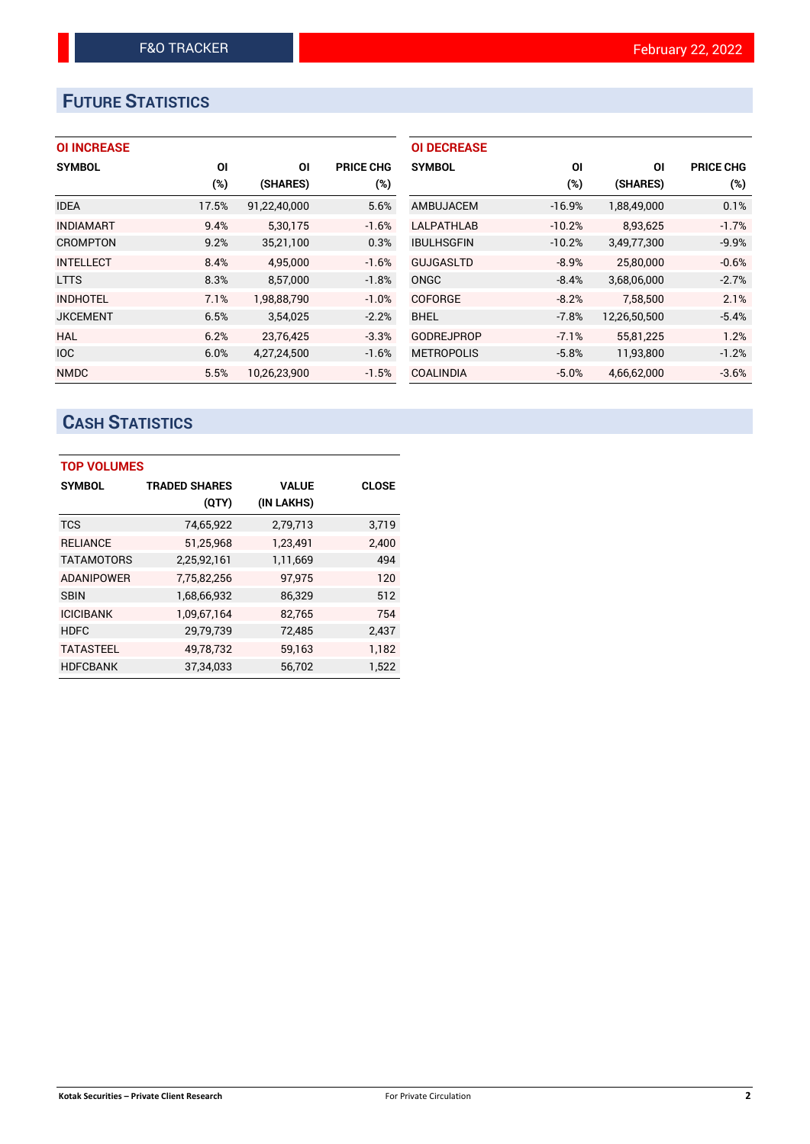# **FUTURE STATISTICS**

| <b>OI INCREASE</b> |
|--------------------|
|--------------------|

| <b>SYMBOL</b>    | <b>OI</b> | ΟI           | <b>PRICE CHG</b> |
|------------------|-----------|--------------|------------------|
|                  | (%)       | (SHARES)     | $(\%)$           |
| <b>IDEA</b>      | 17.5%     | 91,22,40,000 | 5.6%             |
| <b>INDIAMART</b> | 9.4%      | 5,30,175     | $-1.6%$          |
| <b>CROMPTON</b>  | 9.2%      | 35,21,100    | 0.3%             |
| <b>INTELLECT</b> | 8.4%      | 4.95.000     | $-1.6%$          |
| <b>LTTS</b>      | 8.3%      | 8,57,000     | $-1.8%$          |
| <b>INDHOTEL</b>  | 7.1%      | 1.98.88.790  | $-1.0%$          |
| <b>JKCEMENT</b>  | 6.5%      | 3,54,025     | $-2.2%$          |
| <b>HAL</b>       | 6.2%      | 23,76,425    | $-3.3%$          |
| <b>IOC</b>       | 6.0%      | 4,27,24,500  | $-1.6%$          |
| <b>NMDC</b>      | 5.5%      | 10.26.23.900 | $-1.5%$          |

| <b>OI DECREASE</b> |          |              |                  |
|--------------------|----------|--------------|------------------|
| <b>SYMBOL</b>      | ΟI       | ΟI           | <b>PRICE CHG</b> |
|                    | (%)      | (SHARES)     | $(\%)$           |
| AMBUJACEM          | $-16.9%$ | 1,88,49,000  | 0.1%             |
| LALPATHLAB         | $-10.2%$ | 8,93,625     | $-1.7%$          |
| <b>IBULHSGFIN</b>  | $-10.2%$ | 3,49,77,300  | $-9.9%$          |
| <b>GUJGASLTD</b>   | $-8.9%$  | 25,80,000    | $-0.6%$          |
| ONGC               | $-8.4%$  | 3,68,06,000  | $-2.7%$          |
| <b>COFORGE</b>     | $-8.2%$  | 7.58.500     | 2.1%             |
| <b>BHEL</b>        | $-7.8%$  | 12,26,50,500 | $-5.4%$          |
| <b>GODREJPROP</b>  | $-7.1%$  | 55,81,225    | 1.2%             |
| <b>METROPOLIS</b>  | $-5.8%$  | 11,93,800    | $-1.2%$          |
| <b>COALINDIA</b>   | $-5.0%$  | 4.66.62.000  | $-3.6%$          |

# **CASH STATISTICS**

| <b>TOP VOLUMES</b> |                      |              |              |
|--------------------|----------------------|--------------|--------------|
| <b>SYMBOL</b>      | <b>TRADED SHARES</b> | <b>VALUE</b> | <b>CLOSE</b> |
|                    | (QTY)                | (IN LAKHS)   |              |
| <b>TCS</b>         | 74,65,922            | 2,79,713     | 3,719        |
| <b>RELIANCE</b>    | 51,25,968            | 1,23,491     | 2,400        |
| <b>TATAMOTORS</b>  | 2,25,92,161          | 1,11,669     | 494          |
| <b>ADANIPOWER</b>  | 7,75,82,256          | 97,975       | 120          |
| <b>SBIN</b>        | 1,68,66,932          | 86,329       | 512          |
| <b>ICICIBANK</b>   | 1,09,67,164          | 82,765       | 754          |
| <b>HDFC</b>        | 29,79,739            | 72,485       | 2,437        |
| <b>TATASTEEL</b>   | 49,78,732            | 59,163       | 1,182        |
| <b>HDFCBANK</b>    | 37,34,033            | 56,702       | 1,522        |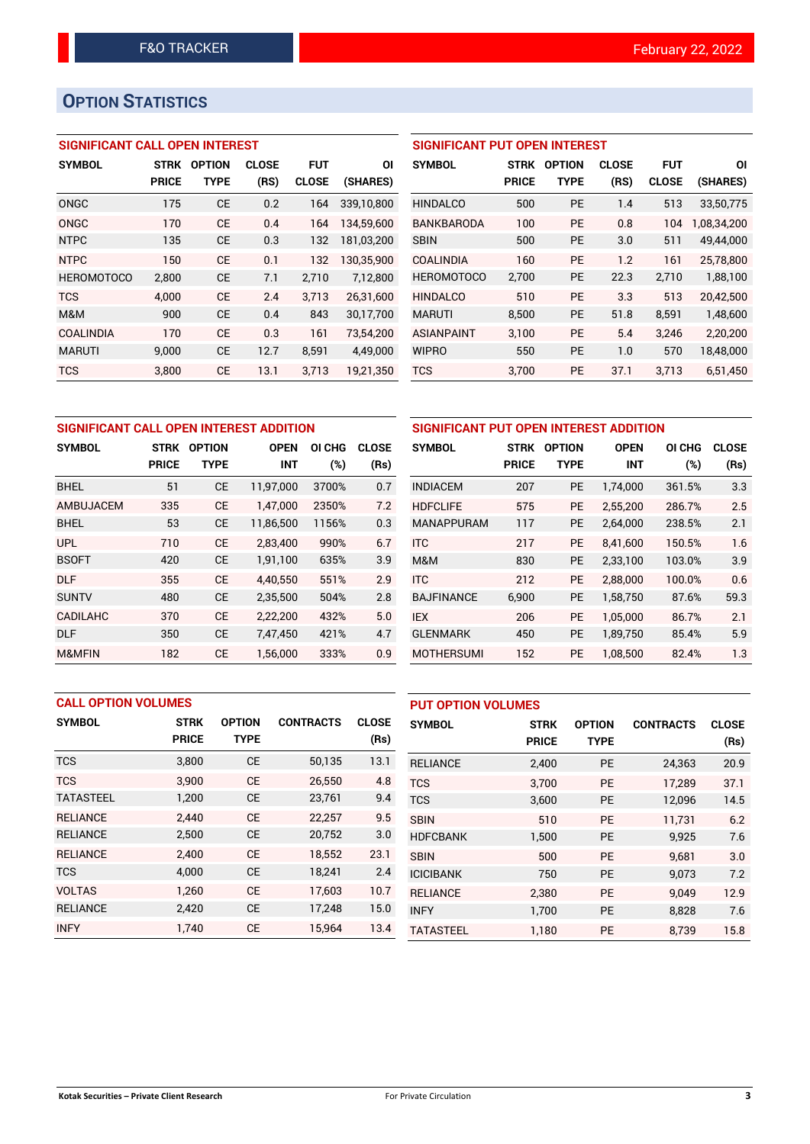# **OPTION STATISTICS**

## **SIGNIFICANT CALL OPEN INTEREST**

| <b>SYMBOL</b>     | <b>STRK</b>  | <b>OPTION</b> | <b>CLOSE</b> | FUT          | ΟI         |
|-------------------|--------------|---------------|--------------|--------------|------------|
|                   | <b>PRICE</b> | TYPE          | (RS)         | <b>CLOSE</b> | (SHARES)   |
| ONGC              | 175          | <b>CE</b>     | 0.2          | 164          | 339,10,800 |
| ONGC              | 170          | CE            | 0.4          | 164          | 134,59,600 |
| <b>NTPC</b>       | 135          | <b>CE</b>     | 0.3          | 132          | 181,03,200 |
| <b>NTPC</b>       | 150          | CE            | 0.1          | 132          | 130,35,900 |
| <b>HEROMOTOCO</b> | 2,800        | СE            | 7.1          | 2,710        | 7,12,800   |
| <b>TCS</b>        | 4,000        | CE            | 2.4          | 3,713        | 26,31,600  |
| M&M               | 900          | CE            | 0.4          | 843          | 30,17,700  |
| <b>COALINDIA</b>  | 170          | CE            | 0.3          | 161          | 73,54,200  |
| <b>MARUTI</b>     | 9,000        | CE            | 12.7         | 8,591        | 4,49,000   |
| <b>TCS</b>        | 3,800        | CE            | 13.1         | 3.713        | 19,21,350  |

| <b>SIGNIFICANT PUT OPEN INTEREST</b> |              |                               |      |              |             |  |  |  |
|--------------------------------------|--------------|-------------------------------|------|--------------|-------------|--|--|--|
| <b>SYMBOL</b>                        | <b>STRK</b>  | <b>CLOSE</b><br><b>OPTION</b> |      | FUT          | ΟI          |  |  |  |
|                                      | <b>PRICE</b> | <b>TYPE</b>                   | (RS) | <b>CLOSE</b> | (SHARES)    |  |  |  |
| <b>HINDALCO</b>                      | 500          | <b>PE</b>                     | 1.4  | 513          | 33,50,775   |  |  |  |
| BANKBARODA                           | 100          | PF                            | 0.8  | 104          | 1,08,34,200 |  |  |  |
| <b>SBIN</b>                          | 500          | PF                            | 3.0  | 511          | 49.44.000   |  |  |  |
| <b>COALINDIA</b>                     | 160          | PF                            | 1.2  | 161          | 25,78,800   |  |  |  |
| <b>HEROMOTOCO</b>                    | 2,700        | PF                            | 22.3 | 2,710        | 1,88,100    |  |  |  |
| <b>HINDALCO</b>                      | 510          | PF                            | 3.3  | 513          | 20,42,500   |  |  |  |
| <b>MARUTI</b>                        | 8,500        | <b>PE</b>                     | 51.8 | 8,591        | 1,48,600    |  |  |  |
| <b>ASIANPAINT</b>                    | 3,100        | <b>PE</b>                     | 5.4  | 3,246        | 2,20,200    |  |  |  |
| <b>WIPRO</b>                         | 550          | <b>PE</b>                     | 1.0  | 570          | 18,48,000   |  |  |  |
| <b>TCS</b>                           | 3.700        | PF                            | 37.1 | 3.713        | 6.51.450    |  |  |  |

| SIGNIFICANT CALL OPEN INTEREST ADDITION |              |               |             |        |              |                 |  |
|-----------------------------------------|--------------|---------------|-------------|--------|--------------|-----------------|--|
| <b>SYMBOL</b>                           | <b>STRK</b>  | <b>OPTION</b> | <b>OPEN</b> | OI CHG | <b>CLOSE</b> | <b>SYMBOL</b>   |  |
|                                         | <b>PRICE</b> | <b>TYPE</b>   | <b>INT</b>  | (%)    | (Rs)         |                 |  |
| <b>BHEL</b>                             | 51           | <b>CE</b>     | 11,97,000   | 3700%  | 0.7          | <b>INDIACEM</b> |  |
| <b>AMBUJACEM</b>                        | 335          | <b>CE</b>     | 1,47,000    | 2350%  | 7.2          | <b>HDFCLIFE</b> |  |
| <b>BHEL</b>                             | 53           | <b>CE</b>     | 11,86,500   | 1156%  | 0.3          | <b>MANAPPUI</b> |  |
| <b>UPL</b>                              | 710          | <b>CE</b>     | 2,83,400    | 990%   | 6.7          | <b>ITC</b>      |  |
| <b>BSOFT</b>                            | 420          | <b>CE</b>     | 1,91,100    | 635%   | 3.9          | M&M             |  |
| <b>DLF</b>                              | 355          | <b>CE</b>     | 4.40.550    | 551%   | 2.9          | <b>ITC</b>      |  |
| <b>SUNTV</b>                            | 480          | <b>CE</b>     | 2,35,500    | 504%   | 2.8          | <b>BAJFINAN</b> |  |
| <b>CADILAHC</b>                         | 370          | <b>CE</b>     | 2,22,200    | 432%   | 5.0          | <b>IEX</b>      |  |
| <b>DLF</b>                              | 350          | <b>CE</b>     | 7,47,450    | 421%   | 4.7          | <b>GLENMARH</b> |  |
| M&MFIN                                  | 182          | <b>CE</b>     | 1,56,000    | 333%   | 0.9          | <b>MOTHERSL</b> |  |

| SIGNIFICANT PUT OPEN INTEREST ADDITION |              |               |             |        |              |  |  |  |
|----------------------------------------|--------------|---------------|-------------|--------|--------------|--|--|--|
| <b>SYMBOL</b>                          | <b>STRK</b>  | <b>OPTION</b> | <b>OPEN</b> | OI CHG | <b>CLOSE</b> |  |  |  |
|                                        | <b>PRICE</b> | <b>TYPE</b>   | <b>INT</b>  | (%)    | (Rs)         |  |  |  |
| <b>INDIACEM</b>                        | 207          | <b>PE</b>     | 1,74,000    | 361.5% | 3.3          |  |  |  |
| <b>HDFCLIFE</b>                        | 575          | <b>PE</b>     | 2,55,200    | 286.7% | 2.5          |  |  |  |
| <b>MANAPPURAM</b>                      | 117          | <b>PE</b>     | 2,64,000    | 238.5% | 2.1          |  |  |  |
| <b>ITC</b>                             | 217          | <b>PE</b>     | 8,41,600    | 150.5% | 1.6          |  |  |  |
| M&M                                    | 830          | <b>PE</b>     | 2,33,100    | 103.0% | 3.9          |  |  |  |
| <b>ITC</b>                             | 212          | <b>PE</b>     | 2,88,000    | 100.0% | 0.6          |  |  |  |
| <b>BAJFINANCE</b>                      | 6,900        | PE            | 1,58,750    | 87.6%  | 59.3         |  |  |  |
| <b>IEX</b>                             | 206          | <b>PE</b>     | 1,05,000    | 86.7%  | 2.1          |  |  |  |
| <b>GLENMARK</b>                        | 450          | <b>PE</b>     | 1,89,750    | 85.4%  | 5.9          |  |  |  |
| <b>MOTHERSUMI</b>                      | 152          | <b>PE</b>     | 1,08,500    | 82.4%  | 1.3          |  |  |  |

| <b>CALL OPTION VOLUMES</b> |                             |                              |                  | <b>PUT OPTION VOLUMES</b> |                  |                             |                              |                  |                      |
|----------------------------|-----------------------------|------------------------------|------------------|---------------------------|------------------|-----------------------------|------------------------------|------------------|----------------------|
| <b>SYMBOL</b>              | <b>STRK</b><br><b>PRICE</b> | <b>OPTION</b><br><b>TYPE</b> | <b>CONTRACTS</b> | <b>CLOSE</b><br>(Rs)      | <b>SYMBOL</b>    | <b>STRK</b><br><b>PRICE</b> | <b>OPTION</b><br><b>TYPE</b> | <b>CONTRACTS</b> | <b>CLOSE</b><br>(Rs) |
| <b>TCS</b>                 | 3,800                       | <b>CE</b>                    | 50,135           | 13.1                      | <b>RELIANCE</b>  | 2,400                       | <b>PE</b>                    | 24,363           | 20.9                 |
| <b>TCS</b>                 | 3.900                       | <b>CE</b>                    | 26,550           | 4.8                       | <b>TCS</b>       | 3.700                       | <b>PE</b>                    | 17.289           | 37.1                 |
| <b>TATASTEEL</b>           | 1,200                       | <b>CE</b>                    | 23,761           | 9.4                       | <b>TCS</b>       | 3,600                       | <b>PE</b>                    | 12,096           | 14.5                 |
| <b>RELIANCE</b>            | 2.440                       | <b>CE</b>                    | 22,257           | 9.5                       | <b>SBIN</b>      | 510                         | <b>PE</b>                    | 11.731           | 6.2                  |
| <b>RELIANCE</b>            | 2,500                       | <b>CE</b>                    | 20,752           | 3.0                       | <b>HDFCBANK</b>  | 1.500                       | <b>PE</b>                    | 9,925            | 7.6                  |
| <b>RELIANCE</b>            | 2,400                       | <b>CE</b>                    | 18,552           | 23.1                      | <b>SBIN</b>      | 500                         | <b>PE</b>                    | 9.681            | 3.0                  |
| <b>TCS</b>                 | 4,000                       | <b>CE</b>                    | 18,241           | 2.4                       | <b>ICICIBANK</b> | 750                         | PE                           | 9,073            | 7.2                  |
| <b>VOLTAS</b>              | 1.260                       | <b>CE</b>                    | 17,603           | 10.7                      | <b>RELIANCE</b>  | 2,380                       | <b>PE</b>                    | 9.049            | 12.9                 |
| <b>RELIANCE</b>            | 2,420                       | <b>CE</b>                    | 17,248           | 15.0                      | <b>INFY</b>      | 1,700                       | <b>PE</b>                    | 8,828            | 7.6                  |
| <b>INFY</b>                | 1.740                       | <b>CE</b>                    | 15,964           | 13.4                      | <b>TATASTEEL</b> | 1,180                       | PE                           | 8,739            | 15.8                 |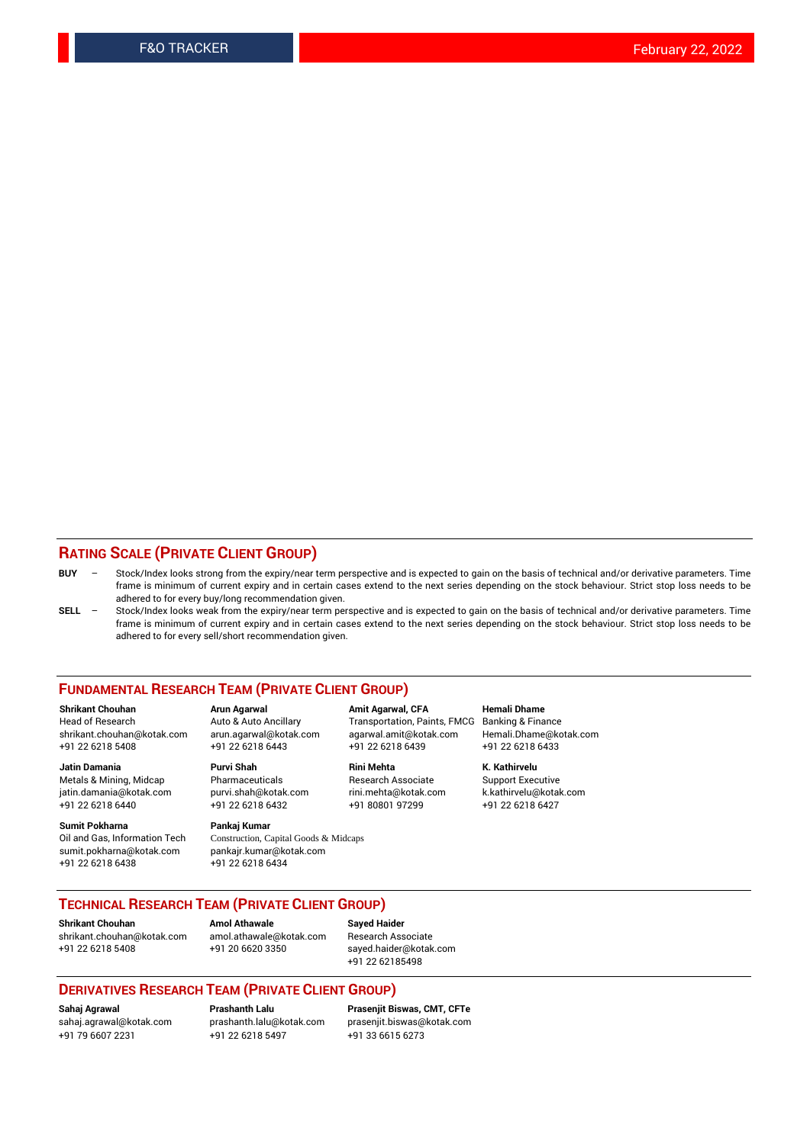## **RATING SCALE (PRIVATE CLIENT GROUP)**

- **BUY**  Stock/Index looks strong from the expiry/near term perspective and is expected to gain on the basis of technical and/or derivative parameters. Time frame is minimum of current expiry and in certain cases extend to the next series depending on the stock behaviour. Strict stop loss needs to be adhered to for every buy/long recommendation given.
- **SELL** Stock/Index looks weak from the expiry/near term perspective and is expected to gain on the basis of technical and/or derivative parameters. Time frame is minimum of current expiry and in certain cases extend to the next series depending on the stock behaviour. Strict stop loss needs to be adhered to for every sell/short recommendation given.

#### **FUNDAMENTAL RESEARCH TEAM (PRIVATE CLIENT GROUP)**

**Shrikant Chouhan Arun Agarwal Amit Agarwal, CFA Hemali Dhame** shrikant.chouhan@kotak.com arun.agarwal@kotak.com agarwal.amit@kotak.com Hemali.Dhame@kotak.com +91 22 6218 5408 +91 22 6218 6443 +91 22 6218 6439 +91 22 6218 6433

jatin.damania@kotak.com +91 22 6218 6440 +91 22 6218 6432 +91 80801 97299 +91 22 6218 6427

**Sumit Pokharna** Pankaj Kumar<br>Oil and Gas, Information Tech Construction, C sumit.pokharna@kotak.com pankajr.kumar@kotak.com +91 22 6218 6438 +91 22 6218 6434

**Jatin Damania Purvi Shah Rini Mehta K. Kathirvelu**

Construction, Capital Goods & Midcaps

Transportation, Paints, FMCG

Metals & Mining, Midcap Pharmaceuticals Pharmaceuticals Research Associate Support Executive<br>
iatin.damania@kotak.com purvi.shah@kotak.com rini.mehta@kotak.com k.kathirvelu@kotak.com

## **TECHNICAL RESEARCH TEAM (PRIVATE CLIENT GROUP)**

**Shrikant Chouhan Amol Athawale Sayed Haider** [shrikant.chouhan@kotak.com](mailto:shrikant.chouhan@kotak.com) [amol.athawale@kotak.com](mailto:amol.athawale@kotak.com) Research Associate

+91 22 6218 5408 +91 20 6620 3350 [sayed.haider@kotak.com](mailto:sayed.haider@kotak.com) +91 22 62185498

#### **DERIVATIVES RESEARCH TEAM (PRIVATE CLIENT GROUP)**

+91 79 6607 2231 +91 22 6218 5497 +91 33 6615 6273

**Sahaj Agrawal Prashanth Lalu Prasenjit Biswas, CMT, CFTe** [prasenjit.biswas@kotak.com](mailto:prasenjit.biswas@kotak.com)